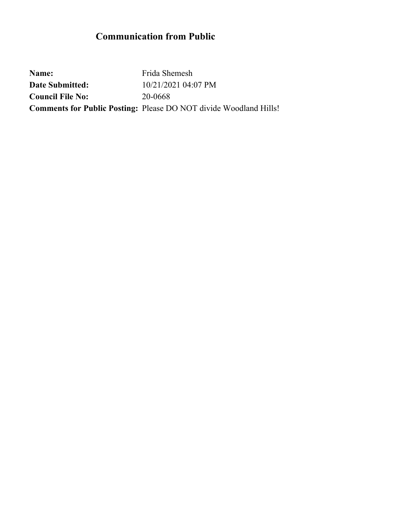**Name:** Frida Shemesh **Date Submitted:** 10/21/2021 04:07 PM **Council File No:** 20-0668 **Comments for Public Posting:** Please DO NOT divide Woodland Hills!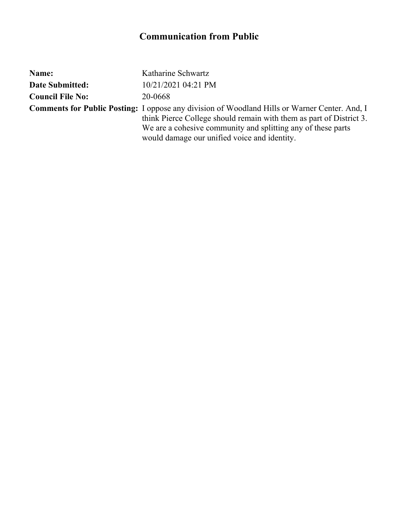| Name:                   | Katharine Schwartz                                                                                                                                                                                                                                                                          |
|-------------------------|---------------------------------------------------------------------------------------------------------------------------------------------------------------------------------------------------------------------------------------------------------------------------------------------|
| <b>Date Submitted:</b>  | 10/21/2021 04:21 PM                                                                                                                                                                                                                                                                         |
| <b>Council File No:</b> | 20-0668                                                                                                                                                                                                                                                                                     |
|                         | <b>Comments for Public Posting:</b> I oppose any division of Woodland Hills or Warner Center. And, I<br>think Pierce College should remain with them as part of District 3.<br>We are a cohesive community and splitting any of these parts<br>would damage our unified voice and identity. |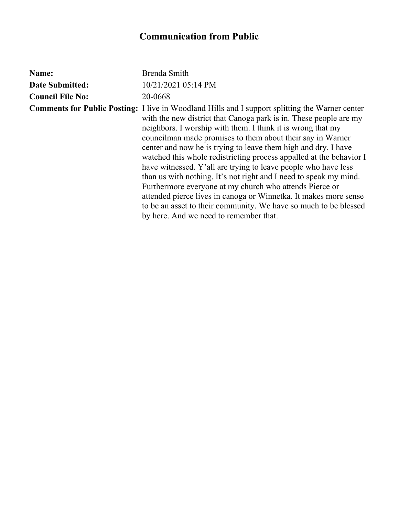| Name:                   | Brenda Smith                                                                                                                                                                                                                                                                                                                                                                                                                                                                                                                                                                                                                                                                                                                                                                                                                          |
|-------------------------|---------------------------------------------------------------------------------------------------------------------------------------------------------------------------------------------------------------------------------------------------------------------------------------------------------------------------------------------------------------------------------------------------------------------------------------------------------------------------------------------------------------------------------------------------------------------------------------------------------------------------------------------------------------------------------------------------------------------------------------------------------------------------------------------------------------------------------------|
| <b>Date Submitted:</b>  | 10/21/2021 05:14 PM                                                                                                                                                                                                                                                                                                                                                                                                                                                                                                                                                                                                                                                                                                                                                                                                                   |
| <b>Council File No:</b> | 20-0668                                                                                                                                                                                                                                                                                                                                                                                                                                                                                                                                                                                                                                                                                                                                                                                                                               |
|                         | <b>Comments for Public Posting:</b> I live in Woodland Hills and I support splitting the Warner center<br>with the new district that Canoga park is in. These people are my<br>neighbors. I worship with them. I think it is wrong that my<br>councilman made promises to them about their say in Warner<br>center and now he is trying to leave them high and dry. I have<br>watched this whole redistricting process appalled at the behavior I<br>have witnessed. Y'all are trying to leave people who have less<br>than us with nothing. It's not right and I need to speak my mind.<br>Furthermore everyone at my church who attends Pierce or<br>attended pierce lives in canoga or Winnetka. It makes more sense<br>to be an asset to their community. We have so much to be blessed<br>by here. And we need to remember that. |